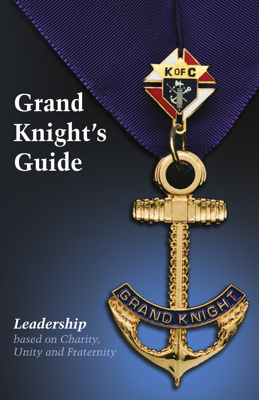# **Grand Knight's Guide**

KOFC

PAND

KNIC

## *Leadership*

*based on Charity, Unity and Fraternity*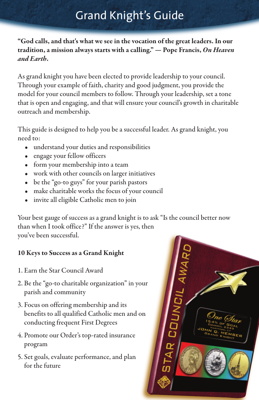### Grand Knight's Guide

**"God calls, and that's what we see in the vocation of the great leaders.In our tradition, a mission always starts with a calling." — Pope Francis,** *On Heaven and Earth***.**

As grand knight you have been elected to provide leadership to your council. Through your example of faith, charity and good judgment, you provide the model for your council members to follow. Through your leadership, set a tone that is open and engaging, and that will ensure your council's growth in charitable outreach and membership.

This guide is designed to help you be a successful leader. As grand knight, you need to:

- understand your duties and responsibilities
- engage your fellow officers
- form your membership into a team
- work with other councils on larger initiatives
- be the "go-to guys" for your parish pastors
- make charitable works the focus of your council
- invite all eligible Catholic men to join

Your best gauge of success as a grand knight is to ask "Is the council better now than when I took office?" If the answer is yes, then you've been successful.

#### **10 Keys to Success as a Grand Knight**

- 1. Earn the Star Council Award
- 2. Be the "go-to charitable organization" in your parish and community
- 3. Focus on offering membership and its benefits to all qualified Catholic men and on conducting frequent First Degrees
- 4. Promote our Order's top-rated insurance program
- 5. Set goals, evaluate performance, and plan for the future

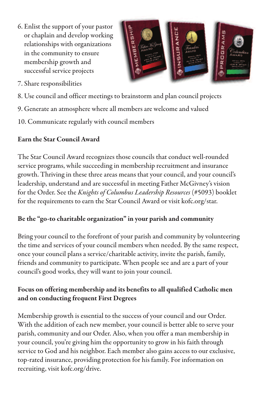6. Enlist the support of your pastor or chaplain and develop working relationships with organizations in the community to ensure membership growth and successful service projects



- 7. Share responsibilities
- 8. Use council and officer meetings to brainstorm and plan council projects
- 9. Generate an atmosphere where all members are welcome and valued
- 10. Communicate regularly with council members

#### **Earn the Star Council Award**

The Star Council Award recognizes those councils that conduct well-rounded service programs, while succeeding in membership recruitment and insurance growth. Thriving in these three areas means that your council, and your council's leadership, understand and are successful in meeting Father McGivney's vision for the Order. Seethe *Knights of Columbus Leadership Resources* (#5093) booklet for the requirements to earn the Star Council Award or visit kofc.org/star.

#### **Be the "go-to charitable organization" in your parish and community**

Bring your council to the forefront of your parish and community by volunteering the time and services of your council members when needed. By the same respect, once your council plans a service/charitable activity, invite the parish, family, friends and community to participate. When peoplesee and are a part of your council's good works, they will want to join your council.

#### **Focus on offering membership and its benefits to all qualified Catholic men and on conducting frequent First Degrees**

Membership growth is essential to the success of your council and our Order. With the addition of each new member, your council is better able to serve your parish, community and our Order. Also, when you offer a man membership in your council, you're giving him the opportunity to grow in his faith through service to God and his neighbor. Each member also gains access to our exclusive, top-rated insurance, providing protection for his family. For information on recruiting, visit kofc.org/drive.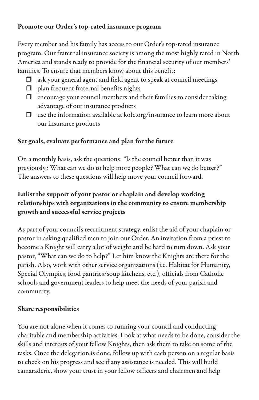#### **Promote our Order's top-rated insurance program**

Every member and his family has access to our Order's top-rated insurance program. Our fraternal insurance society is among the most highly rated in North America and stands ready to provide for the financial security of our members' families. To ensure that members know about this benefit:

- $\Box$  ask your general agent and field agent to speak at council meetings
- $\Box$  plan frequent fraternal benefits nights
- $\Box$  encourage your council members and their families to consider taking advantage of our insurance products
- $\Box$  use the information available at kofc.org/insurance to learn more about our insurance products

#### **Set goals, evaluate performance and plan for the future**

On a monthly basis, ask the questions: "Is the council better than it was previously? What can we do to help more people? What can we do better?" The answers to these questions will help move your council forward.

#### **Enlist the support of your pastor or chaplain and develop working relationships with organizations in the community to ensure membership growth and successful service projects**

As part of your council's recruitment strategy, enlist the aid of your chaplain or pastor in asking qualified men to join our Order. An invitation from a priest to become a Knight will carry a lot of weight and be hard to turn down. Ask your pastor, "What can we do to help?" Let him know the Knights are there for the parish. Also, work with other service organizations (i.e. Habitat for Humanity, Special Olympics, food pantries/soup kitchens,etc.), officials from Catholic schools and government leaders to help meet the needs of your parish and community.

#### **Share responsibilities**

You are not alone when it comes to running your council and conducting charitable and membership activities. Look at what needs to be done, consider the skills and interests of your fellow Knights, then ask them to take on some of the tasks. Once the delegation is done, follow up with each person on a regular basis to check on his progress and see if any assistance is needed. This will build camaraderie, show your trust in your fellow officers and chairmen and help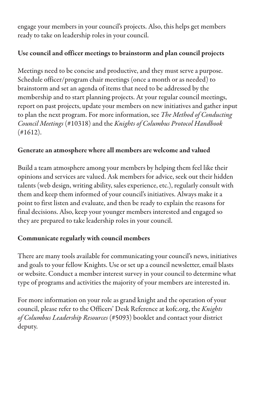engage your members in your council's projects. Also, this helps get members ready to take on leadership roles in your council.

#### **Use council and officer meetings to brainstorm and plan council projects**

Meetings need to be concise and productive, and they must serve a purpose. Schedule officer/program chair meetings (once a month or as needed) to brainstorm and set an agenda of items that need to be addressed by the membership and to start planning projects. At your regular council meetings, report on past projects, update your members on new initiatives and gather input to plan the next program. For moreinformation, see *The Method of Conducting Council Meetings* (#10318) and the *Knights of Columbus Protocol Handbook*  $(*1612).$ 

#### **Generate an atmosphere where all members are welcome and valued**

Build a team atmosphere among your members by helping them feel like their opinions and services are valued. Ask members for advice, seek out their hidden talents (web design, writing ability, sales experience, etc.), regularly consult with them and keep them informed of your council's initiatives. Always make it a point to first listen and evaluate, and then be ready to explain the reasons for final decisions. Also, keep your younger members interested and engaged so they are prepared to take leadership roles in your council.

#### **Communicate regularly with council members**

There are many tools available for communicating your council's news, initiatives and goals to your fellow Knights. Use or set up a council newsletter, email blasts or website. Conduct a member interest survey in your council to determine what type of programs and activities the majority of your members are interested in.

For more information on your role as grand knight and the operation of your council, please refer to the Officers' Desk Reference at kofc.org, the *Knights of Columbus Leadership Resources* (#5093) booklet and contact your district deputy.